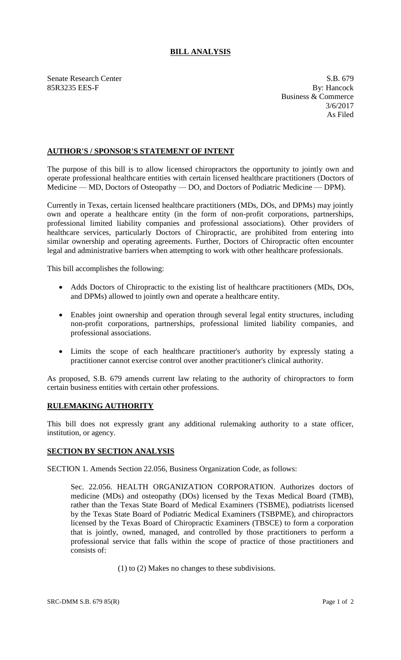## **BILL ANALYSIS**

Senate Research Center S.B. 679 85R3235 EES-F By: Hancock

Business & Commerce 3/6/2017 As Filed

## **AUTHOR'S / SPONSOR'S STATEMENT OF INTENT**

The purpose of this bill is to allow licensed chiropractors the opportunity to jointly own and operate professional healthcare entities with certain licensed healthcare practitioners (Doctors of Medicine — MD, Doctors of Osteopathy — DO, and Doctors of Podiatric Medicine — DPM).

Currently in Texas, certain licensed healthcare practitioners (MDs, DOs, and DPMs) may jointly own and operate a healthcare entity (in the form of non-profit corporations, partnerships, professional limited liability companies and professional associations). Other providers of healthcare services, particularly Doctors of Chiropractic, are prohibited from entering into similar ownership and operating agreements. Further, Doctors of Chiropractic often encounter legal and administrative barriers when attempting to work with other healthcare professionals.

This bill accomplishes the following:

- Adds Doctors of Chiropractic to the existing list of healthcare practitioners (MDs, DOs, and DPMs) allowed to jointly own and operate a healthcare entity.
- Enables joint ownership and operation through several legal entity structures, including non-profit corporations, partnerships, professional limited liability companies, and professional associations.
- Limits the scope of each healthcare practitioner's authority by expressly stating a practitioner cannot exercise control over another practitioner's clinical authority.

As proposed, S.B. 679 amends current law relating to the authority of chiropractors to form certain business entities with certain other professions.

## **RULEMAKING AUTHORITY**

This bill does not expressly grant any additional rulemaking authority to a state officer, institution, or agency.

## **SECTION BY SECTION ANALYSIS**

SECTION 1. Amends Section 22.056, Business Organization Code, as follows:

Sec. 22.056. HEALTH ORGANIZATION CORPORATION. Authorizes doctors of medicine (MDs) and osteopathy (DOs) licensed by the Texas Medical Board (TMB), rather than the Texas State Board of Medical Examiners (TSBME), podiatrists licensed by the Texas State Board of Podiatric Medical Examiners (TSBPME), and chiropractors licensed by the Texas Board of Chiropractic Examiners (TBSCE) to form a corporation that is jointly, owned, managed, and controlled by those practitioners to perform a professional service that falls within the scope of practice of those practitioners and consists of:

(1) to (2) Makes no changes to these subdivisions.